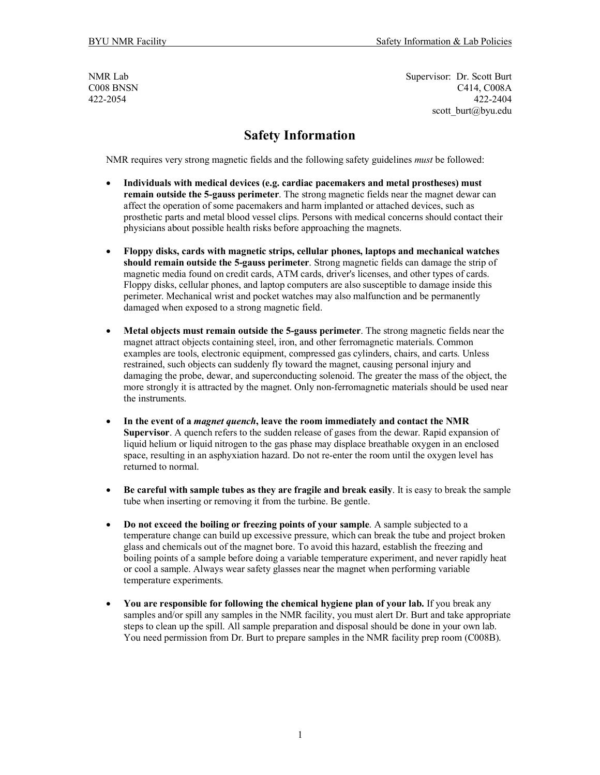NMR Lab Supervisor: Dr. Scott Burt COO8 BNSN C414, COO8A 422-2054 422-2404 scott burt@byu.edu

## **Safety Information**

NMR requires very strong magnetic fields and the following safety guidelines *must* be followed:

- **Individuals with medical devices (e.g. cardiac pacemakers and metal prostheses) must remain outside the 5-gauss perimeter**. The strong magnetic fields near the magnet dewar can affect the operation of some pacemakers and harm implanted or attached devices, such as prosthetic parts and metal blood vessel clips. Persons with medical concerns should contact their physicians about possible health risks before approaching the magnets.
- **Floppy disks, cards with magnetic strips, cellular phones, laptops and mechanical watches should remain outside the 5-gauss perimeter**. Strong magnetic fields can damage the strip of magnetic media found on credit cards, ATM cards, driver's licenses, and other types of cards. Floppy disks, cellular phones, and laptop computers are also susceptible to damage inside this perimeter. Mechanical wrist and pocket watches may also malfunction and be permanently damaged when exposed to a strong magnetic field.
- **Metal objects must remain outside the 5-gauss perimeter**. The strong magnetic fields near the magnet attract objects containing steel, iron, and other ferromagnetic materials. Common examples are tools, electronic equipment, compressed gas cylinders, chairs, and carts. Unless restrained, such objects can suddenly fly toward the magnet, causing personal injury and damaging the probe, dewar, and superconducting solenoid. The greater the mass of the object, the more strongly it is attracted by the magnet. Only non-ferromagnetic materials should be used near the instruments.
- **In the event of a** *magnet quench***, leave the room immediately and contact the NMR Supervisor**. A quench refers to the sudden release of gases from the dewar. Rapid expansion of liquid helium or liquid nitrogen to the gas phase may displace breathable oxygen in an enclosed space, resulting in an asphyxiation hazard. Do not re-enter the room until the oxygen level has returned to normal.
- **Be careful with sample tubes as they are fragile and break easily**. It is easy to break the sample tube when inserting or removing it from the turbine. Be gentle.
- **Do not exceed the boiling or freezing points of your sample**. A sample subjected to a temperature change can build up excessive pressure, which can break the tube and project broken glass and chemicals out of the magnet bore. To avoid this hazard, establish the freezing and boiling points of a sample before doing a variable temperature experiment, and never rapidly heat or cool a sample. Always wear safety glasses near the magnet when performing variable temperature experiments.
- **You are responsible for following the chemical hygiene plan of your lab.** If you break any samples and/or spill any samples in the NMR facility, you must alert Dr. Burt and take appropriate steps to clean up the spill. All sample preparation and disposal should be done in your own lab. You need permission from Dr. Burt to prepare samples in the NMR facility prep room (C008B).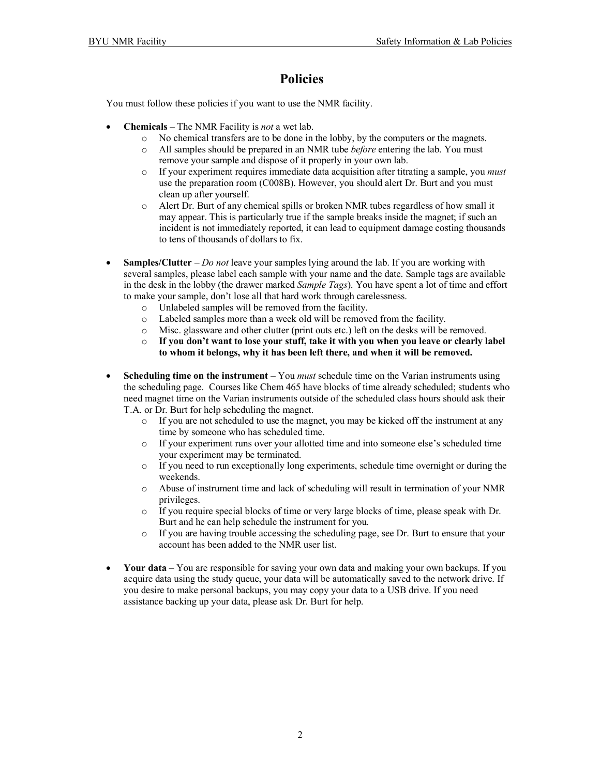## **Policies**

You must follow these policies if you want to use the NMR facility.

- **Chemicals** The NMR Facility is *not* a wet lab.
	- o No chemical transfers are to be done in the lobby, by the computers or the magnets.
	- o All samples should be prepared in an NMR tube *before* entering the lab. You must remove your sample and dispose of it properly in your own lab.
	- o If your experiment requires immediate data acquisition after titrating a sample, you *must* use the preparation room (C008B). However, you should alert Dr. Burt and you must clean up after yourself.
	- o Alert Dr. Burt of any chemical spills or broken NMR tubes regardless of how small it may appear. This is particularly true if the sample breaks inside the magnet; if such an incident is not immediately reported, it can lead to equipment damage costing thousands to tens of thousands of dollars to fix.
- **Samples/Clutter** *Do not* leave your samples lying around the lab. If you are working with several samples, please label each sample with your name and the date. Sample tags are available in the desk in the lobby (the drawer marked *Sample Tags*). You have spent a lot of time and effort to make your sample, don't lose all that hard work through carelessness.
	- o Unlabeled samples will be removed from the facility.
	- o Labeled samples more than a week old will be removed from the facility.
	- o Misc. glassware and other clutter (print outs etc.) left on the desks will be removed.
	- o **If you don't want to lose your stuff, take it with you when you leave or clearly label to whom it belongs, why it has been left there, and when it will be removed.**
- **Scheduling time on the instrument** You *must* schedule time on the Varian instruments using the scheduling page. Courses like Chem 465 have blocks of time already scheduled; students who need magnet time on the Varian instruments outside of the scheduled class hours should ask their T.A. or Dr. Burt for help scheduling the magnet.
	- o If you are not scheduled to use the magnet, you may be kicked off the instrument at any time by someone who has scheduled time.
	- o If your experiment runs over your allotted time and into someone else's scheduled time your experiment may be terminated.
	- $\circ$  If you need to run exceptionally long experiments, schedule time overnight or during the weekends.
	- o Abuse of instrument time and lack of scheduling will result in termination of your NMR privileges.
	- o If you require special blocks of time or very large blocks of time, please speak with Dr. Burt and he can help schedule the instrument for you.
	- o If you are having trouble accessing the scheduling page, see Dr. Burt to ensure that your account has been added to the NMR user list.
- Your data You are responsible for saving your own data and making your own backups. If you acquire data using the study queue, your data will be automatically saved to the network drive. If you desire to make personal backups, you may copy your data to a USB drive. If you need assistance backing up your data, please ask Dr. Burt for help.